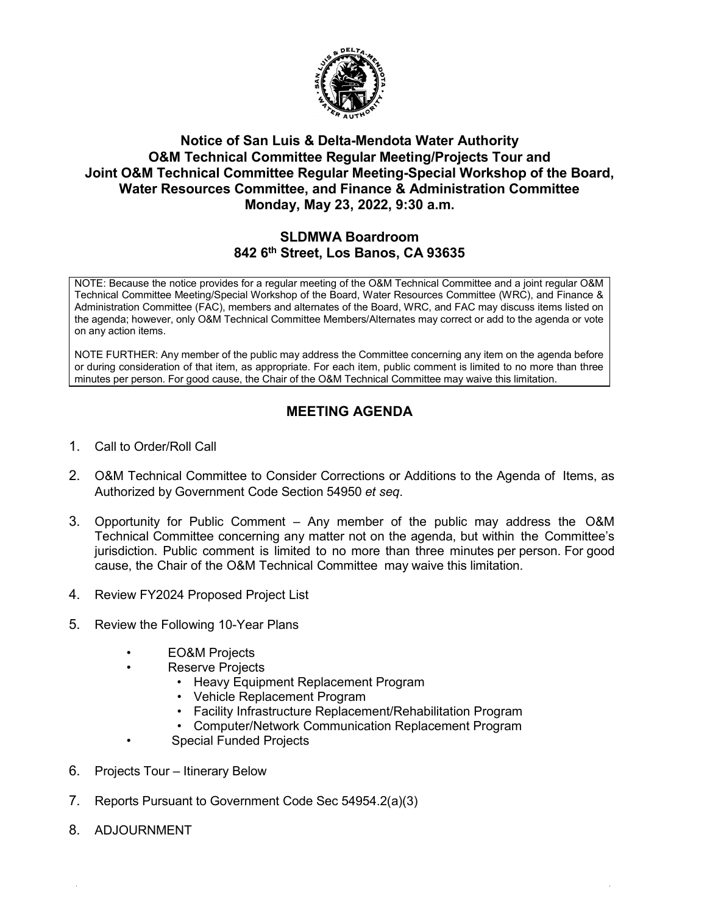

## **Notice of San Luis & Delta-Mendota Water Authority O&M Technical Committee Regular Meeting/Projects Tour and Joint O&M Technical Committee Regular Meeting-Special Workshop of the Board, Water Resources Committee, and Finance & Administration Committee Monday, May 23, 2022, 9:30 a.m.**

## **SLDMWA Boardroom 842 6th Street, Los Banos, CA 93635**

NOTE: Because the notice provides for a regular meeting of the O&M Technical Committee and a joint regular O&M Technical Committee Meeting/Special Workshop of the Board, Water Resources Committee (WRC), and Finance & Administration Committee (FAC), members and alternates of the Board, WRC, and FAC may discuss items listed on the agenda; however, only O&M Technical Committee Members/Alternates may correct or add to the agenda or vote on any action items.

NOTE FURTHER: Any member of the public may address the Committee concerning any item on the agenda before or during consideration of that item, as appropriate. For each item, public comment is limited to no more than three minutes per person. For good cause, the Chair of the O&M Technical Committee may waive this limitation.

## **MEETING AGENDA**

- 1. Call to Order/Roll Call
- 2. O&M Technical Committee to Consider Corrections or Additions to the Agenda of Items, as Authorized by Government Code Section 54950 *et seq*.
- 3. Opportunity for Public Comment Any member of the public may address the O&M Technical Committee concerning any matter not on the agenda, but within the Committee's jurisdiction. Public comment is limited to no more than three minutes per person. For good cause, the Chair of the O&M Technical Committee may waive this limitation.
- 4. Review FY2024 Proposed Project List
- 5. Review the Following 10-Year Plans
	- EO&M Projects
	- Reserve Projects
		- Heavy Equipment Replacement Program
		- Vehicle Replacement Program
		- Facility Infrastructure Replacement/Rehabilitation Program
		- Computer/Network Communication Replacement Program
		- Special Funded Projects
- 6. Projects Tour Itinerary Below
- 7. Reports Pursuant to Government Code Sec 54954.2(a)(3)
- 8. ADJOURNMENT